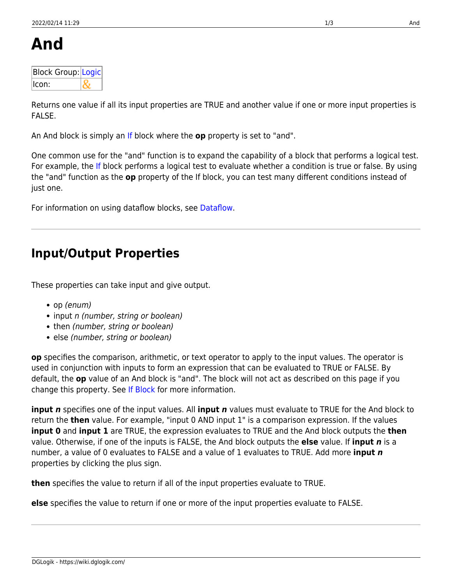| Block Group: Logic |  |
|--------------------|--|
| llcon:             |  |

Returns one value if all its input properties are TRUE and another value if one or more input properties is FALSE.

An And block is simply an [If](https://wiki.dglogik.com/dglux5_wiki:dataflow:dataflow_blocks_reference:logic:if) block where the **op** property is set to "and".

One common use for the "and" function is to expand the capability of a block that performs a logical test. For example, the [If](https://wiki.dglogik.com/dglux5_wiki:dataflow:dataflow_blocks_reference:logic:if) block performs a logical test to evaluate whether a condition is true or false. By using the "and" function as the **op** property of the If block, you can test many different conditions instead of just one.

For information on using dataflow blocks, see [Dataflow](https://wiki.dglogik.com/dglux5_wiki:dataflow:home).

# **Input/Output Properties**

These properties can take input and give output.

- op (enum)
- input n (number, string or boolean)
- then (number, string or boolean)
- else (number, string or boolean)

**op** specifies the comparison, arithmetic, or text operator to apply to the input values. The operator is used in conjunction with inputs to form an expression that can be evaluated to TRUE or FALSE. By default, the **op** value of an And block is "and". The block will not act as described on this page if you change this property. See [If Block](https://wiki.dglogik.com/dglux5_wiki:dataflow:dataflow_blocks_reference:logic:if) for more information.

**input** *n* specifies one of the input values. All **input** *n* values must evaluate to TRUE for the And block to return the **then** value. For example, "input 0 AND input 1" is a comparison expression. If the values **input 0** and **input 1** are TRUE, the expression evaluates to TRUE and the And block outputs the **then** value. Otherwise, if one of the inputs is FALSE, the And block outputs the **else** value. If **input** *n* is a number, a value of 0 evaluates to FALSE and a value of 1 evaluates to TRUE. Add more **input** *n* properties by clicking the plus sign.

**then** specifies the value to return if all of the input properties evaluate to TRUE.

**else** specifies the value to return if one or more of the input properties evaluate to FALSE.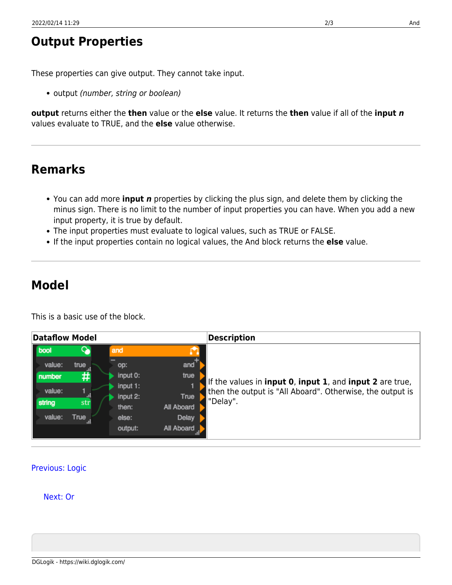DGLogik - https://wiki.dglogik.com/

## **Output Properties**

These properties can give output. They cannot take input.

• output (number, string or boolean)

**output** returns either the **then** value or the **else** value. It returns the **then** value if all of the **input** *n* values evaluate to TRUE, and the **else** value otherwise.

## **Remarks**

- You can add more **input** *n* properties by clicking the plus sign, and delete them by clicking the minus sign. There is no limit to the number of input properties you can have. When you add a new input property, it is true by default.
- The input properties must evaluate to logical values, such as TRUE or FALSE.
- If the input properties contain no logical values, the And block returns the **else** value.

#### **Model**

This is a basic use of the block.

| <b>Dataflow Model</b>              |             |                                                |                                          | <b>Description</b>                                                                                                                              |
|------------------------------------|-------------|------------------------------------------------|------------------------------------------|-------------------------------------------------------------------------------------------------------------------------------------------------|
| bool<br>value:<br>number<br>value: | true<br>#   | and<br>OD:<br>input 0:<br>input 1:<br>input 2: | and<br>true<br>True                      | If the values in <b>input 0, input 1,</b> and <b>input 2</b> are true,<br>then the output is "All Aboard". Otherwise, the output is<br>"Delay". |
| string<br>value:                   | str<br>True | then:<br>else:<br>output:                      | All Aboard<br><b>Delay</b><br>All Aboard |                                                                                                                                                 |

#### [Previous: Logic](https://wiki.dglogik.com/dglux5_wiki:dataflow:dataflow_blocks_reference:logic:home)

#### [Next: Or](https://wiki.dglogik.com/dglux5_wiki:dataflow:dataflow_blocks_reference:logic:operations_or)